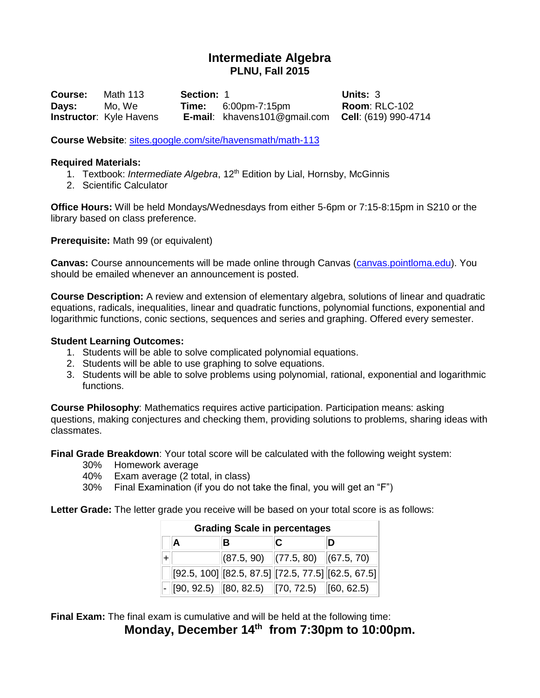# **Intermediate Algebra PLNU, Fall 2015**

**Course:** Math 113 **Section:** 1 **Units:** 3 **Days:** Mo, We **Time:** 6:00pm-7:15pm **Room**: RLC-102 **Instructor**: Kyle Havens **E-mail**: khavens101@gmail.com **Cell**: (619) 990-4714

**Course Website**:<sites.google.com/site/havensmath/math-113>

#### **Required Materials:**

- 1. Textbook: *Intermediate Algebra*, 12th Edition by Lial, Hornsby, McGinnis
- 2. Scientific Calculator

**Office Hours:** Will be held Mondays/Wednesdays from either 5-6pm or 7:15-8:15pm in S210 or the library based on class preference.

**Prerequisite:** Math 99 (or equivalent)

**Canvas:** Course announcements will be made online through Canvas [\(canvas.pointloma.edu\)](canvas.pointloma.edu). You should be emailed whenever an announcement is posted.

**Course Description:** A review and extension of elementary algebra, solutions of linear and quadratic equations, radicals, inequalities, linear and quadratic functions, polynomial functions, exponential and logarithmic functions, conic sections, sequences and series and graphing. Offered every semester.

#### **Student Learning Outcomes:**

- 1. Students will be able to solve complicated polynomial equations.
- 2. Students will be able to use graphing to solve equations.
- 3. Students will be able to solve problems using polynomial, rational, exponential and logarithmic functions.

**Course Philosophy**: Mathematics requires active participation. Participation means: asking questions, making conjectures and checking them, providing solutions to problems, sharing ideas with classmates.

**Final Grade Breakdown**: Your total score will be calculated with the following weight system:

- 30% Homework average
- 40% Exam average (2 total, in class)
- 30% Final Examination (if you do not take the final, you will get an "F")

**Letter Grade:** The letter grade you receive will be based on your total score is as follows:

| <b>Grading Scale in percentages</b> |                                                 |  |                                                            |  |
|-------------------------------------|-------------------------------------------------|--|------------------------------------------------------------|--|
| А                                   |                                                 |  |                                                            |  |
|                                     | $ (87.5, 90)$ $ (77.5, 80)$ $ (67.5, 70)$       |  |                                                            |  |
|                                     |                                                 |  | $[92.5, 100]$ $[82.5, 87.5]$ $[72.5, 77.5]$ $[62.5, 67.5]$ |  |
|                                     | $-$ [90, 92.5) [80, 82.5) [70, 72.5) [60, 62.5) |  |                                                            |  |

**Final Exam:** The final exam is cumulative and will be held at the following time: **Monday, December 14 th from 7:30pm to 10:00pm.**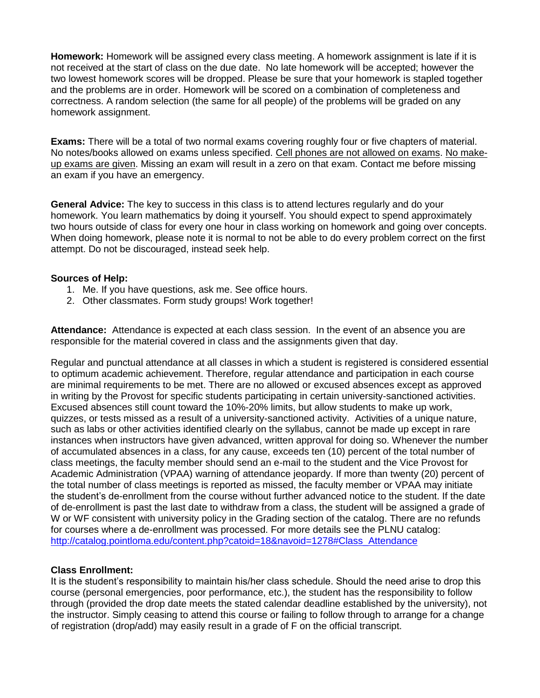**Homework:** Homework will be assigned every class meeting. A homework assignment is late if it is not received at the start of class on the due date. No late homework will be accepted; however the two lowest homework scores will be dropped. Please be sure that your homework is stapled together and the problems are in order. Homework will be scored on a combination of completeness and correctness. A random selection (the same for all people) of the problems will be graded on any homework assignment.

**Exams:** There will be a total of two normal exams covering roughly four or five chapters of material. No notes/books allowed on exams unless specified. Cell phones are not allowed on exams. No makeup exams are given. Missing an exam will result in a zero on that exam. Contact me before missing an exam if you have an emergency.

**General Advice:** The key to success in this class is to attend lectures regularly and do your homework. You learn mathematics by doing it yourself. You should expect to spend approximately two hours outside of class for every one hour in class working on homework and going over concepts. When doing homework, please note it is normal to not be able to do every problem correct on the first attempt. Do not be discouraged, instead seek help.

## **Sources of Help:**

- 1. Me. If you have questions, ask me. See office hours.
- 2. Other classmates. Form study groups! Work together!

**Attendance:** Attendance is expected at each class session. In the event of an absence you are responsible for the material covered in class and the assignments given that day.

Regular and punctual attendance at all classes in which a student is registered is considered essential to optimum academic achievement. Therefore, regular attendance and participation in each course are minimal requirements to be met. There are no allowed or excused absences except as approved in writing by the Provost for specific students participating in certain university-sanctioned activities. Excused absences still count toward the 10%-20% limits, but allow students to make up work, quizzes, or tests missed as a result of a university-sanctioned activity. Activities of a unique nature, such as labs or other activities identified clearly on the syllabus, cannot be made up except in rare instances when instructors have given advanced, written approval for doing so. Whenever the number of accumulated absences in a class, for any cause, exceeds ten (10) percent of the total number of class meetings, the faculty member should send an e-mail to the student and the Vice Provost for Academic Administration (VPAA) warning of attendance jeopardy. If more than twenty (20) percent of the total number of class meetings is reported as missed, the faculty member or VPAA may initiate the student's de-enrollment from the course without further advanced notice to the student. If the date of de-enrollment is past the last date to withdraw from a class, the student will be assigned a grade of W or WF consistent with university policy in the Grading section of the catalog. There are no refunds for courses where a de-enrollment was processed. For more details see the PLNU catalog: [http://catalog.pointloma.edu/content.php?catoid=18&navoid=1278#Class\\_Attendance](http://catalog.pointloma.edu/content.php?catoid=18&navoid=1278#Class_Attendance)

## **Class Enrollment:**

It is the student's responsibility to maintain his/her class schedule. Should the need arise to drop this course (personal emergencies, poor performance, etc.), the student has the responsibility to follow through (provided the drop date meets the stated calendar deadline established by the university), not the instructor. Simply ceasing to attend this course or failing to follow through to arrange for a change of registration (drop/add) may easily result in a grade of F on the official transcript.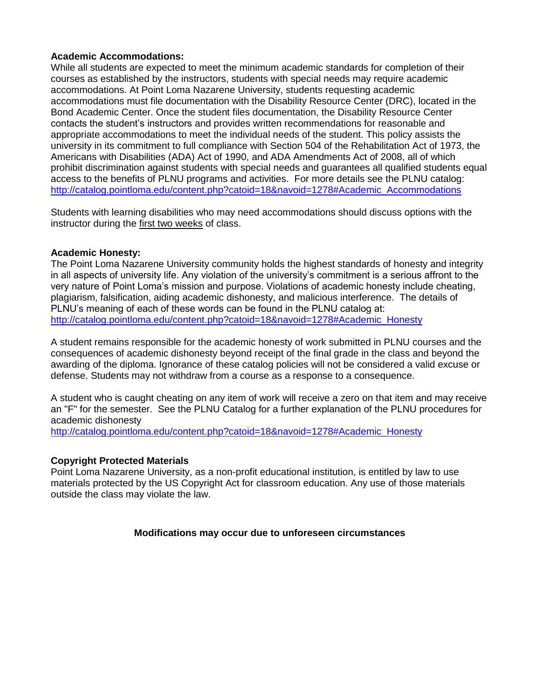# **Academic Accommodations:**

While all students are expected to meet the minimum academic standards for completion of their courses as established by the instructors, students with special needs may require academic accommodations. At Point Loma Nazarene University, students requesting academic accommodations must file documentation with the Disability Resource Center (DRC), located in the Bond Academic Center. Once the student files documentation, the Disability Resource Center contacts the student's instructors and provides written recommendations for reasonable and appropriate accommodations to meet the individual needs of the student. This policy assists the university in its commitment to full compliance with Section 504 of the Rehabilitation Act of 1973, the Americans with Disabilities (ADA) Act of 1990, and ADA Amendments Act of 2008, all of which prohibit discrimination against students with special needs and guarantees all qualified students equal access to the benefits of PLNU programs and activities. For more details see the PLNU catalog: http://catalog.pointloma.edu/content.php?catoid=18&navoid=1278#Academic\_Accommodations

Students with learning disabilities who may need accommodations should discuss options with the instructor during the first two weeks of class.

## **Academic Honesty:**

The Point Loma Nazarene University community holds the highest standards of honesty and integrity in all aspects of university life. Any violation of the university's commitment is a serious affront to the very nature of Point Loma's mission and purpose. Violations of academic honesty include cheating, plagiarism, falsification, aiding academic dishonesty, and malicious interference. The details of PLNU's meaning of each of these words can be found in the PLNU catalog at: [http://catalog.pointloma.edu/content.php?catoid=18&navoid=1278#Academic\\_Honesty](http://catalog.pointloma.edu/content.php?catoid=18&navoid=1278#Academic_Honesty)

A student remains responsible for the academic honesty of work submitted in PLNU courses and the consequences of academic dishonesty beyond receipt of the final grade in the class and beyond the awarding of the diploma. Ignorance of these catalog policies will not be considered a valid excuse or defense. Students may not withdraw from a course as a response to a consequence.

A student who is caught cheating on any item of work will receive a zero on that item and may receive an "F" for the semester. See the PLNU Catalog for a further explanation of the PLNU procedures for academic dishonesty

[http://catalog.pointloma.edu/content.php?catoid=18&navoid=1278#Academic\\_Honesty](http://catalog.pointloma.edu/content.php?catoid=18&navoid=1278#Academic_Honesty)

## **Copyright Protected Materials**

Point Loma Nazarene University, as a non-profit educational institution, is entitled by law to use materials protected by the US Copyright Act for classroom education. Any use of those materials outside the class may violate the law.

## **Modifications may occur due to unforeseen circumstances**